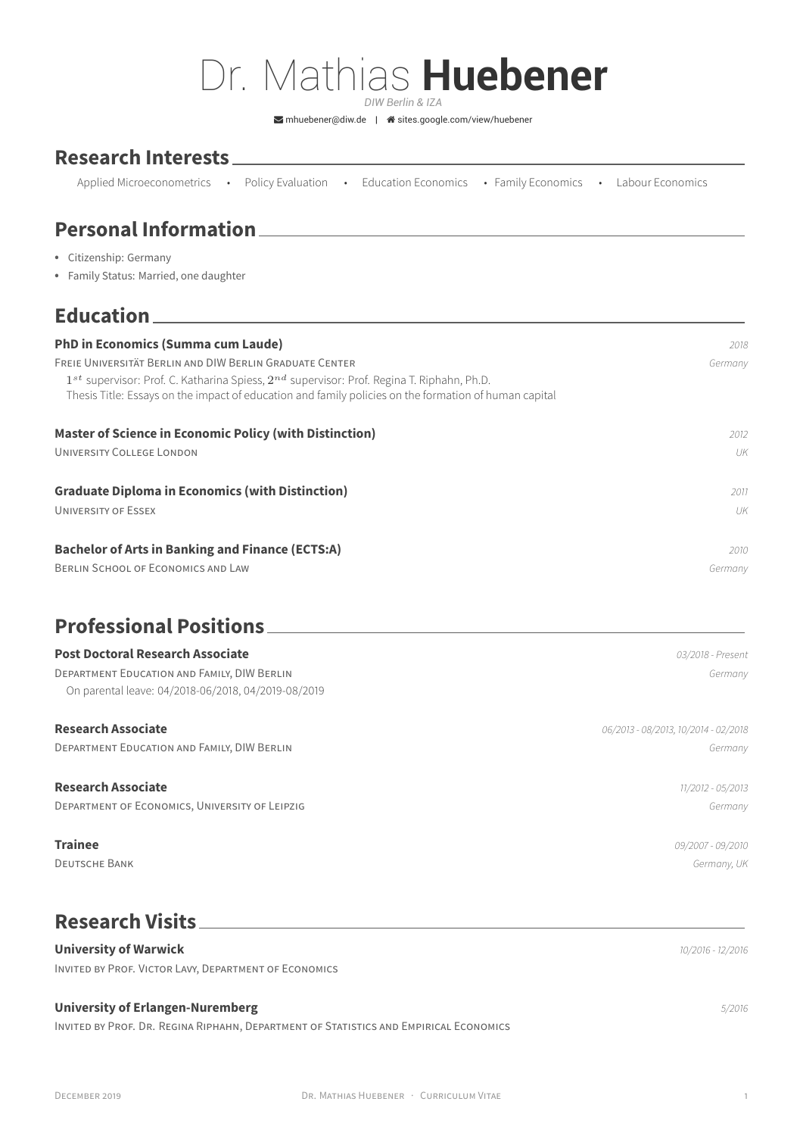# Dr. Mathias **Huebener**

*DIW Berlin & IZA*

 $\triangleright$ [mhuebener@diw.de](mailto:mhuebener@diw.de) |  $\hat{\mathbf{a}}$  [sites.google.com/view/huebener](http://sites.google.com/view/huebener)

### **Research Interests**

| Applied Microeconometrics . Policy Evaluation |  |  |  | Education Economics • Family Economics • Labour Economics |  |  |  |
|-----------------------------------------------|--|--|--|-----------------------------------------------------------|--|--|--|
|-----------------------------------------------|--|--|--|-----------------------------------------------------------|--|--|--|

# **Personal Information**

- Citizenship: Germany
- Family Status: Married, one daughter

### **Education**

| <b>PhD in Economics (Summa cum Laude)</b>                                                                                                                                                                    | 2018    |  |
|--------------------------------------------------------------------------------------------------------------------------------------------------------------------------------------------------------------|---------|--|
| FREIE UNIVERSITÄT BERLIN AND DIW BERLIN GRADUATE CENTER                                                                                                                                                      | Germany |  |
| $1^{st}$ supervisor: Prof. C. Katharina Spiess, $2^{nd}$ supervisor: Prof. Regina T. Riphahn, Ph.D.<br>Thesis Title: Essays on the impact of education and family policies on the formation of human capital |         |  |
| <b>Master of Science in Economic Policy (with Distinction)</b>                                                                                                                                               | 2012    |  |
| UNIVERSITY COLLEGE LONDON                                                                                                                                                                                    | UK      |  |
| <b>Graduate Diploma in Economics (with Distinction)</b>                                                                                                                                                      | 2011    |  |
| UNIVERSITY OF ESSEX                                                                                                                                                                                          | UK      |  |
| <b>Bachelor of Arts in Banking and Finance (ECTS:A)</b>                                                                                                                                                      | 2010    |  |
| BERLIN SCHOOL OF ECONOMICS AND LAW                                                                                                                                                                           | Germany |  |

### **Professional Positions**

| <b>Post Doctoral Research Associate</b><br>DEPARTMENT EDUCATION AND FAMILY, DIW BERLIN<br>On parental leave: 04/2018-06/2018, 04/2019-08/2019 | 03/2018 - Present<br>Germany         |
|-----------------------------------------------------------------------------------------------------------------------------------------------|--------------------------------------|
| <b>Research Associate</b>                                                                                                                     | 06/2013 - 08/2013, 10/2014 - 02/2018 |
| DEPARTMENT EDUCATION AND FAMILY, DIW BERLIN                                                                                                   | Germany                              |
| <b>Research Associate</b>                                                                                                                     | 11/2012 - 05/2013                    |
| DEPARTMENT OF ECONOMICS, UNIVERSITY OF LEIPZIG                                                                                                | Germany                              |
| <b>Trainee</b>                                                                                                                                | 09/2007 - 09/2010                    |

DEUTSCHE BANK *Germany, UK*

# **Research Visits**

### **University of Warwick** *10/2016 - 12/2016*

INVITED BY PROF. VICTOR LAVY, DEPARTMENT OF ECONOMICS

### **University of Erlangen-Nuremberg** *5/2016*

INVITED BY PROF. DR. REGINA RIPHAHN, DEPARTMENT OF STATISTICS AND EMPIRICAL ECONOMICS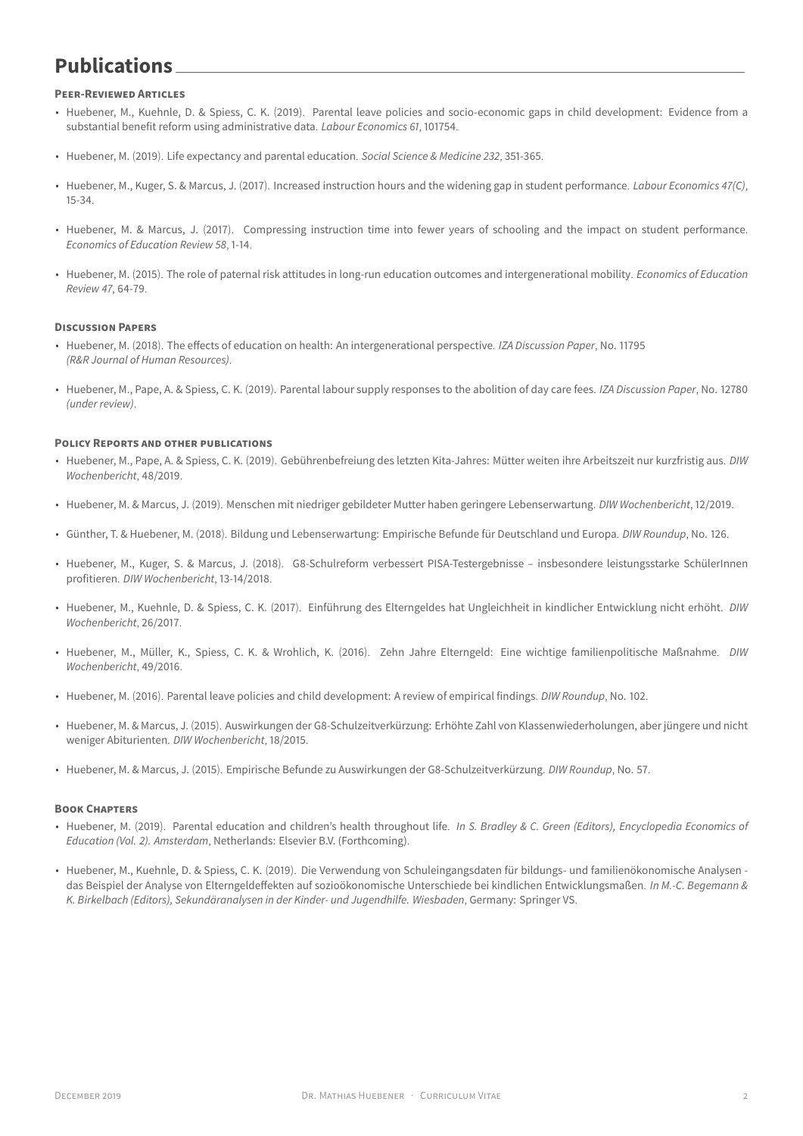## **Publications**

### **PEER-REVIEWED ARTICLES**

- Huebener, M., Kuehnle, D. & Spiess, C. K. (2019). [Parental leave policies and socio-economic gaps in child development: Evidence from a](https://www.iza.org/publications/dp/11794/parental-leave-policies-and-socio-economic-gaps-in-child-development-evidence-from-a-substantial-benefit-reform-using-administrative-data) [substantial benefit reform using administrative data](https://www.iza.org/publications/dp/11794/parental-leave-policies-and-socio-economic-gaps-in-child-development-evidence-from-a-substantial-benefit-reform-using-administrative-data). *Labour Economics 61*, 101754.
- Huebener, M. (2019). [Life expectancy and parental education](https://www.diw.de/documents/publikationen/73/diw_01.c.616169.de/diw_sp1023.pdf). *Social Science & Medicine 232*, 351-365.
- Huebener, M., Kuger, S. & Marcus, J. (2017). [Increased instruction hours and the widening gap in student performance](http://www.sciencedirect.com/science/article/pii/S0927537116302755). *Labour Economics 47(C)*, 15-34.
- Huebener, M. & Marcus, J. (2017). [Compressing instruction time into fewer years of schooling and the impact on student performance](http://www.sciencedirect.com/science/article/pii/S0272775716304186). *Economics of Education Review 58*, 1-14.
- Huebener, M. (2015). [The role of paternal risk attitudes in long-run education outcomes and intergenerational mobility](http://www.sciencedirect.com/science/article/pii/S0272775715000540). *Economics of Education Review 47*, 64-79.

#### **DISCUSSION PAPERS**

- Huebener, M. (2018). [The effects of education on health: An intergenerational perspective](https://www.iza.org/publications/dp/11795/the-effects-of-education-on-health-an-intergenerational-perspective). *IZA Discussion Paper*, No. 11795 *(R&R Journal of Human Resources)*.
- Huebener, M., Pape, A. & Spiess, C. K. (2019). [Parental labour supply responses to the abolition of day care fees](https://www.iza.org/publications/dp/12780/parental-labour-supply-responses-to-the-abolition-of-day-care-fees). *IZA Discussion Paper*, No. 12780 *(under review)*.

#### **POLICY REPORTS AND OTHER PUBLICATIONS**

- Huebener, M., Pape, A. & Spiess, C. K. (2019). [Gebührenbefreiung des letzten Kita-Jahres: Mütter weiten ihre Arbeitszeit nur kurzfristig aus](https://www.diw.de/de/diw_01.c.698972.de/publikationen/wochenberichte/2019_48/gebuehrenbefreiung_des_letzten_kita___jahres__muetter_weiten_ihre_arbeitszeit_nur_kurzfristig_aus.html). *DIW Wochenbericht*, 48/2019.
- Huebener, M. & Marcus, J. (2019). [Menschen mit niedriger gebildeter Mutter haben geringere Lebenserwartung](https://www.diw.de/documents/publikationen/73/diw_01.c.617294.de/19-12.pdf). *DIW Wochenbericht*, 12/2019.
- Günther, T. & Huebener, M. (2018). [Bildung und Lebenserwartung: Empirische Befunde für Deutschland und Europa](https://www.diw.de/documents/publikationen/73/diw_01.c.607507.de/diw_roundup_126_de.pdf). *DIW Roundup*, No. 126.
- Huebener, M., Kuger, S. & Marcus, J. (2018). [G8-Schulreform verbessert PISA-Testergebnisse insbesondere leistungsstarke SchülerInnen](https://www.diw.de/documents/publikationen/73/diw_01.c.581447.de/18-13-1.pdf) [profitieren](https://www.diw.de/documents/publikationen/73/diw_01.c.581447.de/18-13-1.pdf). *DIW Wochenbericht*, 13-14/2018.
- Huebener, M., Kuehnle, D. & Spiess, C. K. (2017). [Einführung des Elterngeldes hat Ungleichheit in kindlicher Entwicklung nicht erhöht](http://www.diw.de/documents/publikationen/73/diw_01.c.560511.de/17-26-1.pdf). *DIW Wochenbericht*, 26/2017.
- Huebener, M., Müller, K., Spiess, C. K. & Wrohlich, K. (2016). [Zehn Jahre Elterngeld: Eine wichtige familienpolitische Maßnahme](https://www.diw.de/documents/publikationen/73/diw_01.c.548384.de/16-49-1.pdf). *DIW Wochenbericht*, 49/2016.
- Huebener, M. (2016). [Parental leave policies and child development: A review of empirical findings](https://www.diw.de/de/diw_01.c.546153.de/presse/diw_roundup/parental_leave_policies_and_child_development_a_review_of_empirical_findings.html). *DIW Roundup*, No. 102.
- Huebener, M. & Marcus, J. (2015). [Auswirkungen der G8-Schulzeitverkürzung: Erhöhte Zahl von Klassenwiederholungen, aber jüngere und nicht](https://www.diw.de/documents/publikationen/73/diw_01.c.502825.de/15-18-1.pdf) [weniger Abiturienten](https://www.diw.de/documents/publikationen/73/diw_01.c.502825.de/15-18-1.pdf). *DIW Wochenbericht*, 18/2015.
- Huebener, M. & Marcus, J. (2015). [Empirische Befunde zu Auswirkungen der G8-Schulzeitverkürzung](https://www.diw.de/documents/publikationen/73/diw_01.c.497161.de/diw_roundup_57_de.pdf). *DIW Roundup*, No. 57.

#### **BOOK CHAPTERS**

- Huebener, M. (2019). Parental education and children's health throughout life. *In S. Bradley & C. Green (Editors), Encyclopedia Economics of Education (Vol. 2). Amsterdam*, Netherlands: Elsevier B.V. (Forthcoming).
- Huebener, M., Kuehnle, D. & Spiess, C. K. (2019). Die Verwendung von Schuleingangsdaten für bildungs- und familienökonomische Analysen das Beispiel der Analyse von Elterngeldeffekten auf sozioökonomische Unterschiede bei kindlichen Entwicklungsmaßen. *In M.-C. Begemann & K. Birkelbach (Editors), Sekundäranalysen in der Kinder- und Jugendhilfe. Wiesbaden*, Germany: Springer VS.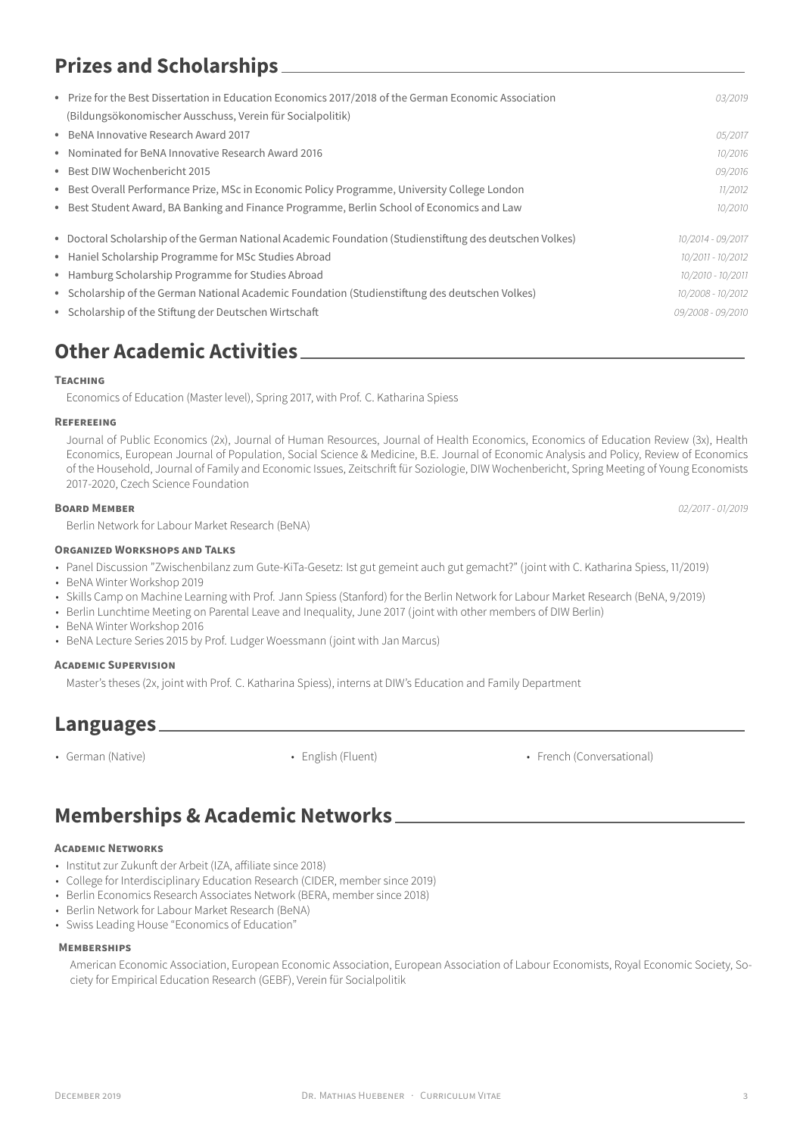# **Prizes and Scholarships**

| • Prize for the Best Dissertation in Education Economics 2017/2018 of the German Economic Association    | 03/2019           |
|----------------------------------------------------------------------------------------------------------|-------------------|
| (Bildungsökonomischer Ausschuss, Verein für Socialpolitik)                                               |                   |
| • BeNA Innovative Research Award 2017                                                                    | 05/2017           |
| • Nominated for BeNA Innovative Research Award 2016                                                      | 10/2016           |
| • Best DIW Wochenbericht 2015                                                                            | 09/2016           |
| • Best Overall Performance Prize, MSc in Economic Policy Programme, University College London            | 11/2012           |
| • Best Student Award, BA Banking and Finance Programme, Berlin School of Economics and Law               | 10/2010           |
| • Doctoral Scholarship of the German National Academic Foundation (Studienstiftung des deutschen Volkes) | 10/2014 - 09/2017 |
| • Haniel Scholarship Programme for MSc Studies Abroad                                                    | 10/2011 - 10/2012 |
| • Hamburg Scholarship Programme for Studies Abroad                                                       | 10/2010 - 10/2011 |
| • Scholarship of the German National Academic Foundation (Studienstiftung des deutschen Volkes)          | 10/2008 - 10/2012 |
| • Scholarship of the Stiftung der Deutschen Wirtschaft                                                   | 09/2008 - 09/2010 |
|                                                                                                          |                   |

# **Other Academic Activities**

### **TEACHING**

Economics of Education (Master level), Spring 2017, with Prof. C. Katharina Spiess

### **REFEREEING**

Journal of Public Economics (2x), Journal of Human Resources, Journal of Health Economics, Economics of Education Review (3x), Health Economics, European Journal of Population, Social Science & Medicine, B.E. Journal of Economic Analysis and Policy, Review of Economics of the Household, Journal of Family and Economic Issues, Zeitschrift für Soziologie, DIW Wochenbericht, Spring Meeting of Young Economists 2017-2020, Czech Science Foundation

#### **BOARD MEMBER** *02/2017 - 01/2019*

Berlin Network for Labour Market Research (BeNA)

### **ORGANIZED WORKSHOPS AND TALKS**

- Panel Discussion "Zwischenbilanz zum Gute-KiTa-Gesetz: Ist gut gemeint auch gut gemacht?" (joint with C. Katharina Spiess, 11/2019)
- BeNA Winter Workshop 2019
- Skills Camp on Machine Learning with Prof. Jann Spiess (Stanford) for the Berlin Network for Labour Market Research (BeNA, 9/2019)
- Berlin Lunchtime Meeting on Parental Leave and Inequality, June 2017 (joint with other members of DIW Berlin)
- BeNA Winter Workshop 2016
- BeNA Lecture Series 2015 by Prof. Ludger Woessmann (joint with Jan Marcus)

### **ACADEMIC SUPERVISION**

Master's theses (2x, joint with Prof. C. Katharina Spiess), interns at DIW's Education and Family Department

### **Languages**

• German (Native) • English (Fluent) • French (Conversational)

# **Memberships & Academic Networks**

### **ACADEMIC NETWORKS**

- Institut zur Zukunft der Arbeit (IZA, affiliate since 2018)
- College for Interdisciplinary Education Research (CIDER, member since 2019)
- Berlin Economics Research Associates Network (BERA, member since 2018)
- Berlin Network for Labour Market Research (BeNA)
- Swiss Leading House "Economics of Education"

### **MEMBERSHIPS**

American Economic Association, European Economic Association, European Association of Labour Economists, Royal Economic Society, Society for Empirical Education Research (GEBF), Verein für Socialpolitik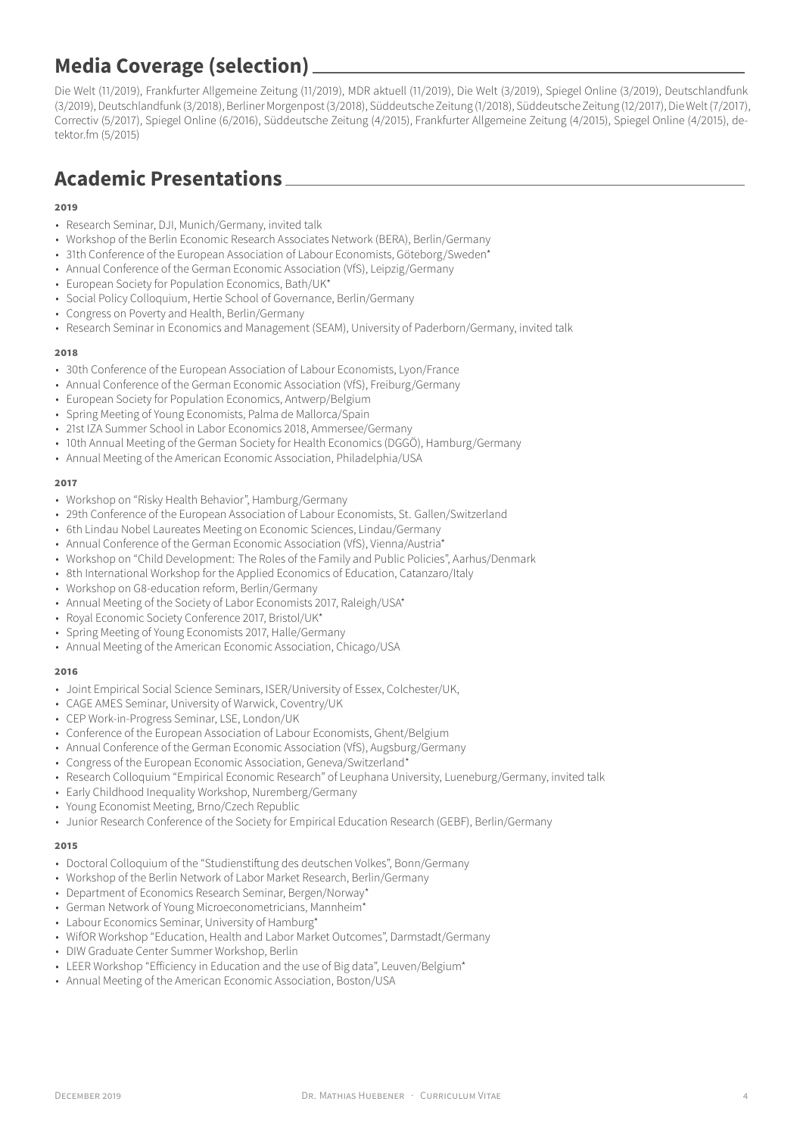# **Media Coverage (selection)**

[Die Welt \(11/2019\),](https://www.welt.de/print/welt_kompakt/print_politik/article203873654/Fuer-eine-so-kostspielige-Massnahme-ein-maues-Ergebnis.html) [Frankfurter Allgemeine Zeitung \(11/2019\),](https://www.faz.net/aktuell/wirtschaft/fuer-geld-allein-aendern-muetter-ihre-arbeitszeit-kaum-16505104.html) [MDR aktuell \(11/2019\),](https://www.mdr.de/nachrichten/wirtschaft/inland/kita-beitragsfrei-erwerbstaetigkeit-studie-diw-100.html) [Die Welt \(3/2019\)](https://www.welt.de/print/die_welt/finanzen/article190611789/Ist-die-Mutter-gebildet-leben-die-Kinder-laenger.html), [Spiegel Online \(3/2019\),](http://www.spiegel.de/lebenundlernen/schule/studie-zur-lebenserwartung-kinder-gebildeter-muetter-leben-laenger-a-1258963.html) [Deutschlandfunk](https://ondemand-mp3.dradio.de/file/dradio/2019/03/20/diw_studie_bildung_lohnt_sich_nicht_nur_fuer_den_dlf_20190320_1444_f27d9034.mp3) [\(3/2019\)](https://ondemand-mp3.dradio.de/file/dradio/2019/03/20/diw_studie_bildung_lohnt_sich_nicht_nur_fuer_den_dlf_20190320_1444_f27d9034.mp3),[Deutschlandfunk\(3/2018\),](http://ondemand-mp3.dradio.de/file/dradio/2018/03/29/g8_besser_als_sein_ruf_interview_mit_matthias_huebener_dlf_20180329_1437_6dee8d45.mp3) [Berliner Morgenpost\(3/2018\),](https://www.morgenpost.de/politik/article213865755/Studie-stellt-dem-deutschen-Turbo-Abi-ein-gutes-Zeugnis-aus.html) [Süddeutsche Zeitung\(1/2018\),](http://www.sueddeutsche.de/politik/raetsel-der-woche-was-haben-kinder-vom-elterngeld-plus-1.3822954) [Süddeutsche Zeitung\(12/2017\)](http://www.sueddeutsche.de/wirtschaft/forum-finger-weg-vom-kindergeld-1.3766231?reduced=true), Die Welt(7/2017), [Correctiv \(5/2017\),](https://correctiv.org/blog/ruhr/artikel/2017/05/31/g8-besser-als-sein-ruf-oder-zurecht-verrufen-g9-abitur-landtagswahl/) Spiegel Online (6/2016), [Süddeutsche Zeitung \(4/2015\)](http://www.sueddeutsche.de/bildung/studie-zu-achtjaehrigem-gymnasium-mehr-durchfaller-juengere-abiturienten-1.2457311), Frankfurter Allgemeine Zeitung (4/2015), [Spiegel Online \(4/2015\),](http://www.spiegel.de/lebenundlernen/schule/mehr-klassenwiederholungen-durch-g8-schulzeitverkuerzung-a-1031332.html) [de](https://detektor.fm/wissen/bildung-folgen-der-g8-reform)[tektor.fm \(5/2015\)](https://detektor.fm/wissen/bildung-folgen-der-g8-reform)

# **Academic Presentations**

### **2019**

- Research Seminar, DJI, Munich/Germany, invited talk
- Workshop of the Berlin Economic Research Associates Network (BERA), Berlin/Germany
- 31th Conference of the European Association of Labour Economists, Göteborg/Sweden\*
- Annual Conference of the German Economic Association (VfS), Leipzig/Germany
- European Society for Population Economics, Bath/UK\*
- Social Policy Colloquium, Hertie School of Governance, Berlin/Germany
- Congress on Poverty and Health, Berlin/Germany
- Research Seminar in Economics and Management (SEAM), University of Paderborn/Germany, invited talk

### **2018**

- 30th Conference of the European Association of Labour Economists, Lyon/France
- Annual Conference of the German Economic Association (VfS), Freiburg/Germany
- European Society for Population Economics, Antwerp/Belgium
- Spring Meeting of Young Economists, Palma de Mallorca/Spain
- 21st IZA Summer School in Labor Economics 2018, Ammersee/Germany
- 10th Annual Meeting of the German Society for Health Economics (DGGÖ), Hamburg/Germany
- Annual Meeting of the American Economic Association, Philadelphia/USA

### **2017**

- Workshop on "Risky Health Behavior", Hamburg/Germany
- 29th Conference of the European Association of Labour Economists, St. Gallen/Switzerland
- 6th Lindau Nobel Laureates Meeting on Economic Sciences, Lindau/Germany
- Annual Conference of the German Economic Association (VfS), Vienna/Austria\*
- Workshop on "Child Development: The Roles of the Family and Public Policies", Aarhus/Denmark
- 8th International Workshop for the Applied Economics of Education, Catanzaro/Italy
- Workshop on G8-education reform, Berlin/Germany
- Annual Meeting of the Society of Labor Economists 2017, Raleigh/USA\*
- Royal Economic Society Conference 2017, Bristol/UK\*
- Spring Meeting of Young Economists 2017, Halle/Germany
- Annual Meeting of the American Economic Association, Chicago/USA

### **2016**

- Joint Empirical Social Science Seminars, ISER/University of Essex, Colchester/UK,
- CAGE AMES Seminar, University of Warwick, Coventry/UK
- CEP Work-in-Progress Seminar, LSE, London/UK
- Conference of the European Association of Labour Economists, Ghent/Belgium
- Annual Conference of the German Economic Association (VfS), Augsburg/Germany
- Congress of the European Economic Association, Geneva/Switzerland\*
- Research Colloquium "Empirical Economic Research" of Leuphana University, Lueneburg/Germany, invited talk
- Early Childhood Inequality Workshop, Nuremberg/Germany
- Young Economist Meeting, Brno/Czech Republic
- Junior Research Conference of the Society for Empirical Education Research (GEBF), Berlin/Germany

### **2015**

- Doctoral Colloquium of the "Studienstiftung des deutschen Volkes", Bonn/Germany
- Workshop of the Berlin Network of Labor Market Research, Berlin/Germany
- Department of Economics Research Seminar, Bergen/Norway\*
- German Network of Young Microeconometricians, Mannheim\*
- Labour Economics Seminar, University of Hamburg\*
- WifOR Workshop "Education, Health and Labor Market Outcomes", Darmstadt/Germany
- DIW Graduate Center Summer Workshop, Berlin
- LEER Workshop "Efficiency in Education and the use of Big data", Leuven/Belgium\*
- Annual Meeting of the American Economic Association, Boston/USA